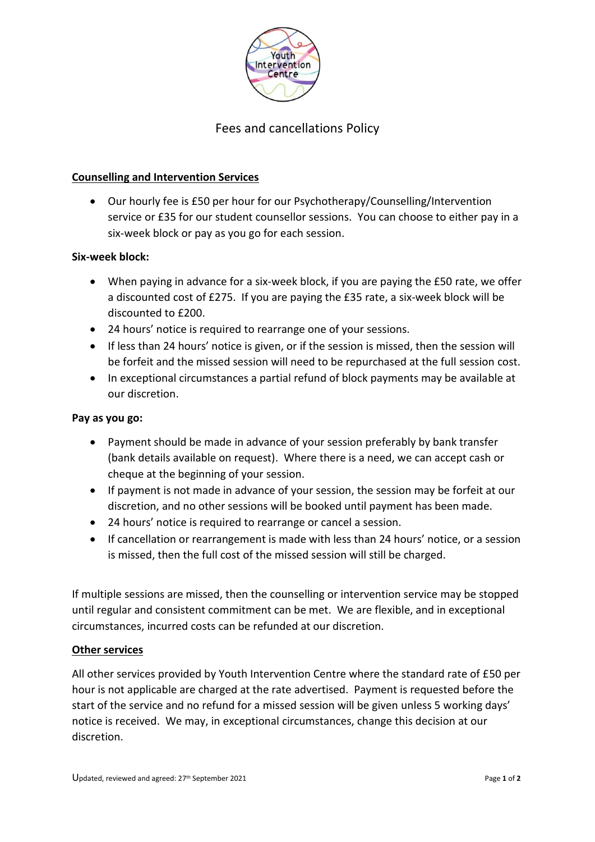

# Fees and cancellations Policy

# **Counselling and Intervention Services**

• Our hourly fee is £50 per hour for our Psychotherapy/Counselling/Intervention service or £35 for our student counsellor sessions. You can choose to either pay in a six-week block or pay as you go for each session.

### **Six-week block:**

- When paying in advance for a six-week block, if you are paying the £50 rate, we offer a discounted cost of £275. If you are paying the £35 rate, a six-week block will be discounted to £200.
- 24 hours' notice is required to rearrange one of your sessions.
- If less than 24 hours' notice is given, or if the session is missed, then the session will be forfeit and the missed session will need to be repurchased at the full session cost.
- In exceptional circumstances a partial refund of block payments may be available at our discretion.

## **Pay as you go:**

- Payment should be made in advance of your session preferably by bank transfer (bank details available on request). Where there is a need, we can accept cash or cheque at the beginning of your session.
- If payment is not made in advance of your session, the session may be forfeit at our discretion, and no other sessions will be booked until payment has been made.
- 24 hours' notice is required to rearrange or cancel a session.
- If cancellation or rearrangement is made with less than 24 hours' notice, or a session is missed, then the full cost of the missed session will still be charged.

If multiple sessions are missed, then the counselling or intervention service may be stopped until regular and consistent commitment can be met. We are flexible, and in exceptional circumstances, incurred costs can be refunded at our discretion.

### **Other services**

All other services provided by Youth Intervention Centre where the standard rate of £50 per hour is not applicable are charged at the rate advertised. Payment is requested before the start of the service and no refund for a missed session will be given unless 5 working days' notice is received. We may, in exceptional circumstances, change this decision at our discretion.